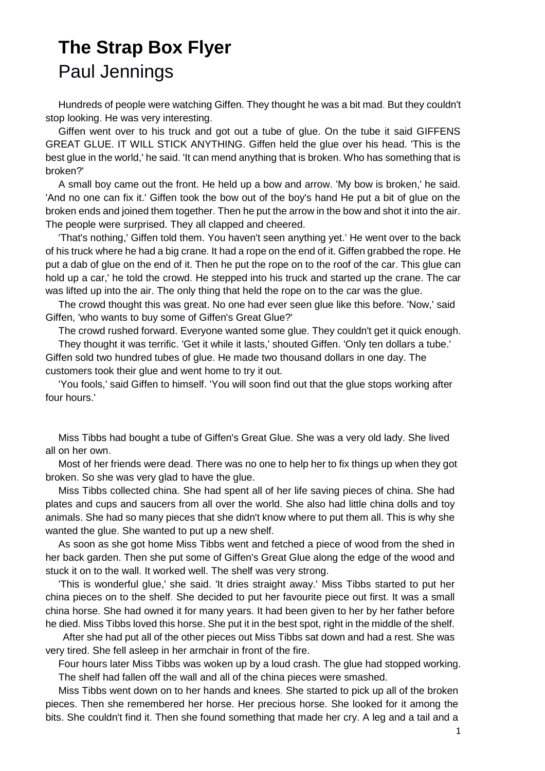## **The Strap Box Flyer**  Paul Jennings

Hundreds of people were watching Giffen. They thought he was a bit mad. But they couldn't stop looking. He was very interesting.

Giffen went over to his truck and got out a tube of glue. On the tube it said GIFFENS GREAT GLUE. IT WILL STICK ANYTHING. Giffen held the glue over his head. 'This is the best glue in the world,' he said. 'It can mend anything that is broken. Who has something that is broken?'

A small boy came out the front. He held up a bow and arrow. 'My bow is broken,' he said. 'And no one can fix it.' Giffen took the bow out of the boy's hand He put a bit of glue on the broken ends and joined them together. Then he put the arrow in the bow and shot it into the air. The people were surprised. They all clapped and cheered.

'That's nothing,' Giffen told them. You haven't seen anything yet.' He went over to the back of his truck where he had a big crane. It had a rope on the end of it. Giffen grabbed the rope. He put a dab of glue on the end of it. Then he put the rope on to the roof of the car. This glue can hold up a car,' he told the crowd. He stepped into his truck and started up the crane. The car was lifted up into the air. The only thing that held the rope on to the car was the glue.

The crowd thought this was great. No one had ever seen glue like this before. 'Now,' said Giffen, 'who wants to buy some of Giffen's Great Glue?'

The crowd rushed forward. Everyone wanted some glue. They couldn't get it quick enough.

They thought it was terrific. 'Get it while it lasts,' shouted Giffen. 'Only ten dollars a tube.' Giffen sold two hundred tubes of glue. He made two thousand dollars in one day. The customers took their glue and went home to try it out.

'You fools,' said Giffen to himself. 'You will soon find out that the glue stops working after four hours.'

Miss Tibbs had bought a tube of Giffen's Great Glue. She was a very old lady. She lived all on her own.

Most of her friends were dead. There was no one to help her to fix things up when they got broken. So she was very glad to have the glue.

Miss Tibbs collected china. She had spent all of her life saving pieces of china. She had plates and cups and saucers from all over the world. She also had little china dolls and toy animals. She had so many pieces that she didn't know where to put them all. This is why she wanted the glue. She wanted to put up a new shelf.

As soon as she got home Miss Tibbs went and fetched a piece of wood from the shed in her back garden. Then she put some of Giffen's Great Glue along the edge of the wood and stuck it on to the wall. It worked well. The shelf was very strong.

'This is wonderful glue,' she said. 'It dries straight away.' Miss Tibbs started to put her china pieces on to the shelf. She decided to put her favourite piece out first. It was a small china horse. She had owned it for many years. It had been given to her by her father before he died. Miss Tibbs loved this horse. She put it in the best spot, right in the middle of the shelf.

After she had put all of the other pieces out Miss Tibbs sat down and had a rest. She was very tired. She fell asleep in her armchair in front of the fire.

Four hours later Miss Tibbs was woken up by a loud crash. The glue had stopped working. The shelf had fallen off the wall and all of the china pieces were smashed.

Miss Tibbs went down on to her hands and knees. She started to pick up all of the broken pieces. Then she remembered her horse. Her precious horse. She looked for it among the bits. She couldn't find it. Then she found something that made her cry. A leg and a tail and a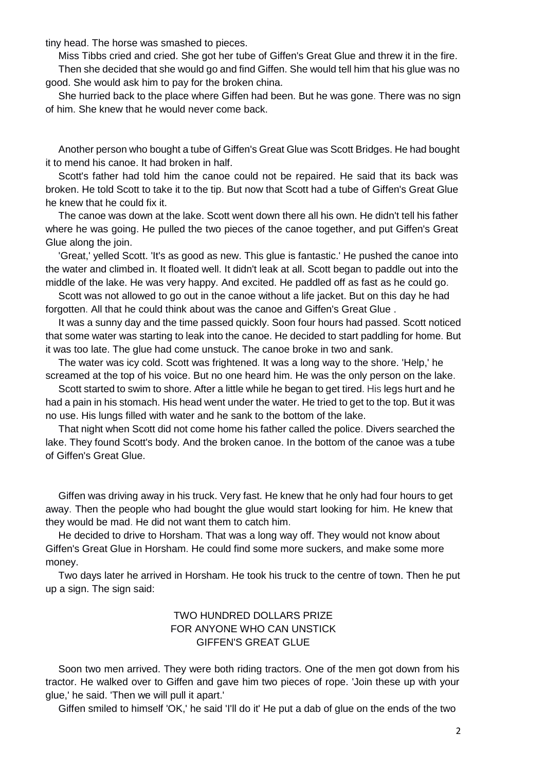tiny head. The horse was smashed to pieces.

Miss Tibbs cried and cried. She got her tube of Giffen's Great Glue and threw it in the fire. Then she decided that she would go and find Giffen. She would tell him that his glue was no good. She would ask him to pay for the broken china.

She hurried back to the place where Giffen had been. But he was gone. There was no sign of him. She knew that he would never come back.

Another person who bought a tube of Giffen's Great Glue was Scott Bridges. He had bought it to mend his canoe. It had broken in half.

Scott's father had told him the canoe could not be repaired. He said that its back was broken. He told Scott to take it to the tip. But now that Scott had a tube of Giffen's Great Glue he knew that he could fix it.

The canoe was down at the lake. Scott went down there all his own. He didn't tell his father where he was going. He pulled the two pieces of the canoe together, and put Giffen's Great Glue along the join.

'Great,' yelled Scott. 'It's as good as new. This glue is fantastic.' He pushed the canoe into the water and climbed in. It floated well. It didn't leak at all. Scott began to paddle out into the middle of the lake. He was very happy. And excited. He paddled off as fast as he could go.

Scott was not allowed to go out in the canoe without a life jacket. But on this day he had forgotten. All that he could think about was the canoe and Giffen's Great Glue .

It was a sunny day and the time passed quickly. Soon four hours had passed. Scott noticed that some water was starting to leak into the canoe. He decided to start paddling for home. But it was too late. The glue had come unstuck. The canoe broke in two and sank.

The water was icy cold. Scott was frightened. It was a long way to the shore. 'Help,' he screamed at the top of his voice. But no one heard him. He was the only person on the lake.

Scott started to swim to shore. After a little while he began to get tired. His legs hurt and he had a pain in his stomach. His head went under the water. He tried to get to the top. But it was no use. His lungs filled with water and he sank to the bottom of the lake.

That night when Scott did not come home his father called the police. Divers searched the lake. They found Scott's body. And the broken canoe. In the bottom of the canoe was a tube of Giffen's Great Glue.

Giffen was driving away in his truck. Very fast. He knew that he only had four hours to get away. Then the people who had bought the glue would start looking for him. He knew that they would be mad. He did not want them to catch him.

He decided to drive to Horsham. That was a long way off. They would not know about Giffen's Great Glue in Horsham. He could find some more suckers, and make some more money.

Two days later he arrived in Horsham. He took his truck to the centre of town. Then he put up a sign. The sign said:

## TWO HUNDRED DOLLARS PRIZE FOR ANYONE WHO CAN UNSTICK GIFFEN'S GREAT GLUE

Soon two men arrived. They were both riding tractors. One of the men got down from his tractor. He walked over to Giffen and gave him two pieces of rope. 'Join these up with your glue,' he said. 'Then we will pull it apart.'

Giffen smiled to himself 'OK,' he said 'I'll do it' He put a dab of glue on the ends of the two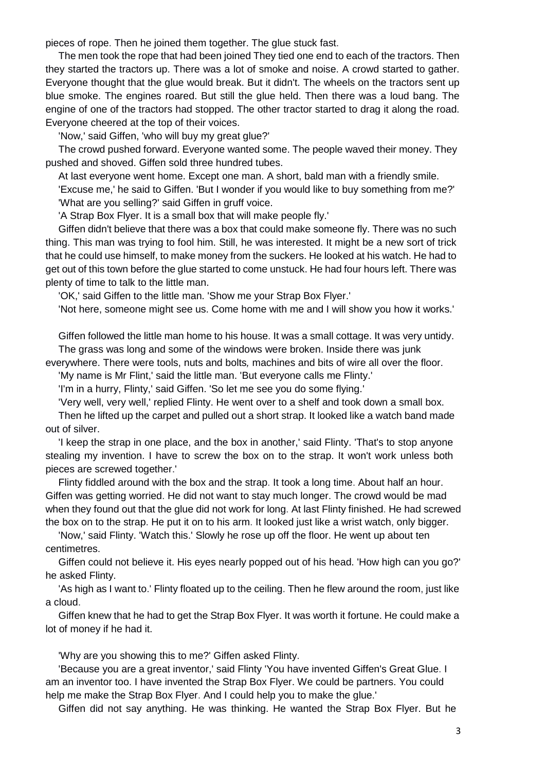pieces of rope. Then he joined them together. The glue stuck fast.

The men took the rope that had been joined They tied one end to each of the tractors. Then they started the tractors up. There was a lot of smoke and noise. A crowd started to gather. Everyone thought that the glue would break. But it didn't. The wheels on the tractors sent up blue smoke. The engines roared. But still the glue held. Then there was a loud bang. The engine of one of the tractors had stopped. The other tractor started to drag it along the road. Everyone cheered at the top of their voices.

'Now,' said Giffen, 'who will buy my great glue?'

The crowd pushed forward. Everyone wanted some. The people waved their money. They pushed and shoved. Giffen sold three hundred tubes.

At last everyone went home. Except one man. A short, bald man with a friendly smile.

'Excuse me,' he said to Giffen. 'But I wonder if you would like to buy something from me?' 'What are you selling?' said Giffen in gruff voice.

'A Strap Box Flyer. It is a small box that will make people fly.'

Giffen didn't believe that there was a box that could make someone fly. There was no such thing. This man was trying to fool him. Still, he was interested. It might be a new sort of trick that he could use himself, to make money from the suckers. He looked at his watch. He had to get out of this town before the glue started to come unstuck. He had four hours left. There was plenty of time to talk to the little man.

'OK,' said Giffen to the little man. 'Show me your Strap Box Flyer.'

'Not here, someone might see us. Come home with me and I will show you how it works.'

Giffen followed the little man home to his house. It was a small cottage. It was very untidy. The grass was long and some of the windows were broken. Inside there was junk

everywhere. There were tools, nuts and bolts, machines and bits of wire all over the floor.

'My name is Mr Flint,' said the little man. 'But everyone calls me Flinty.'

'I'm in a hurry, Flinty,' said Giffen. 'So let me see you do some flying.'

'Very well, very well,' replied Flinty. He went over to a shelf and took down a small box.

Then he lifted up the carpet and pulled out a short strap. It looked like a watch band made out of silver.

'I keep the strap in one place, and the box in another,' said Flinty. 'That's to stop anyone stealing my invention. I have to screw the box on to the strap. It won't work unless both pieces are screwed together.'

Flinty fiddled around with the box and the strap. It took a long time. About half an hour. Giffen was getting worried. He did not want to stay much longer. The crowd would be mad when they found out that the glue did not work for long. At last Flinty finished. He had screwed the box on to the strap. He put it on to his arm. It looked just like a wrist watch, only bigger.

'Now,' said Flinty. 'Watch this.' Slowly he rose up off the floor. He went up about ten centimetres.

Giffen could not believe it. His eyes nearly popped out of his head. 'How high can you go?' he asked Flinty.

'As high as I want to.' Flinty floated up to the ceiling. Then he flew around the room, just like a cloud.

Giffen knew that he had to get the Strap Box Flyer. It was worth it fortune. He could make a lot of money if he had it.

'Why are you showing this to me?' Giffen asked Flinty.

'Because you are a great inventor,' said Flinty 'You have invented Giffen's Great Glue. I am an inventor too. I have invented the Strap Box Flyer. We could be partners. You could help me make the Strap Box Flyer. And I could help you to make the glue.'

Giffen did not say anything. He was thinking. He wanted the Strap Box Flyer. But he